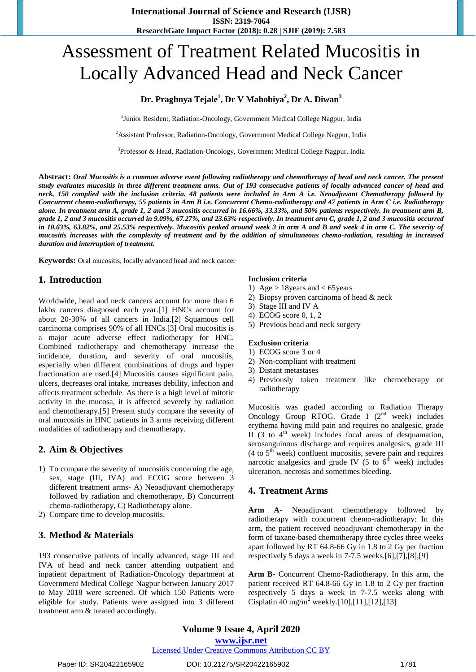# Assessment of Treatment Related Mucositis in Locally Advanced Head and Neck Cancer

## **Dr. Praghnya Tejale<sup>1</sup> , Dr V Mahobiya<sup>2</sup> , Dr A. Diwan<sup>3</sup>**

<sup>1</sup>Junior Resident, Radiation-Oncology, Government Medical College Nagpur, India

<sup>2</sup>Assistant Professor, Radiation-Oncology, Government Medical College Nagpur, India

<sup>3</sup>Professor & Head, Radiation-Oncology, Government Medical College Nagpur, India

**Abstract:** *Oral Mucositis is a common adverse event following radiotherapy and chemotherapy of head and neck cancer. The present study evaluates mucositis in three different treatment arms. Out of 193 consecutive patients of locally advanced cancer of head and neck, 150 complied with the inclusion criteria. 48 patients were included in Arm A i.e. Neoadjuvant Chemotherapy followed by Concurrent chemo-radiotherapy, 55 patients in Arm B i.e. Concurrent Chemo-radiotherapy and 47 patients in Arm C i.e. Radiotherapy alone. In treatment arm A, grade 1, 2 and 3 mucositis occurred in 16.66%, 33.33%, and 50% patients respectively. In treatment arm B, grade 1, 2 and 3 mucositis occurred in 9.09%, 67.27%, and 23.63% respectively. In treatment arm C, grade 1, 2 and 3 mucositis occurred in 10.63%, 63.82%, and 25.53% respectively. Mucositis peaked around week 3 in arm A and B and week 4 in arm C. The severity of mucositis increases with the complexity of treatment and by the addition of simultaneous chemo-radiation, resulting in increased duration and interruption of treatment.*

**Keywords:** Oral mucositis, locally advanced head and neck cancer

## **1. Introduction**

Worldwide, head and neck cancers account for more than 6 lakhs cancers diagnosed each year.[1] HNCs account for about 20-30% of all cancers in India.[2] Squamous cell carcinoma comprises 90% of all HNCs.[3] Oral mucositis is a major acute adverse effect radiotherapy for HNC. Combined radiotherapy and chemotherapy increase the incidence, duration, and severity of oral mucositis, especially when different combinations of drugs and hyper fractionation are used.[4] Mucositis causes significant pain, ulcers, decreases oral intake, increases debility, infection and affects treatment schedule. As there is a high level of mitotic activity in the mucosa, it is affected severely by radiation and chemotherapy.[5] Present study compare the severity of oral mucositis in HNC patients in 3 arms receiving different modalities of radiotherapy and chemotherapy.

## **2. Aim & Objectives**

- 1) To compare the severity of mucositis concerning the age, sex, stage (III, IVA) and ECOG score between 3 different treatment arms- A) Neoadjuvant chemotherapy followed by radiation and chemotherapy, B) Concurrent chemo-radiotherapy, C) Radiotherapy alone.
- 2) Compare time to develop mucositis.

## **3. Method & Materials**

193 consecutive patients of locally advanced, stage III and IVA of head and neck cancer attending outpatient and inpatient department of Radiation-Oncology department at Government Medical College Nagpur between January 2017 to May 2018 were screened. Of which 150 Patients were eligible for study. Patients were assigned into 3 different treatment arm & treated accordingly.

#### **Inclusion criteria**

- 1) Age > 18years and < 65years
- 2) Biopsy proven carcinoma of head & neck
- 3) Stage III and IV A
- 4) ECOG score 0, 1, 2
- 5) Previous head and neck surgery

#### **Exclusion criteria**

- 1) ECOG score 3 or 4
- 2) Non-compliant with treatment
- 3) Distant metastases
- 4) Previously taken treatment like chemotherapy or radiotherapy

Mucositis was graded according to Radiation Therapy Oncology Group RTOG. Grade I  $(2^{nd}$  week) includes erythema having mild pain and requires no analgesic, grade II (3 to  $4<sup>th</sup>$  week) includes focal areas of desquamation, serosanguinous discharge and requires analgesics, grade III (4 to  $5<sup>th</sup>$  week) confluent mucositis, severe pain and requires narcotic analgesics and grade IV (5 to  $6<sup>th</sup>$  week) includes ulceration, necrosis and sometimes bleeding.

## **4. Treatment Arms**

**Arm A**- Neoadjuvant chemotherapy followed by radiotherapy with concurrent chemo-radiotherapy: In this arm, the patient received neoadjuvant chemotherapy in the form of taxane-based chemotherapy three cycles three weeks apart followed by RT 64.8-66 Gy in 1.8 to 2 Gy per fraction respectively 5 days a week in 7-7.5 weeks.[6],[7],[8],[9]

**Arm B**- Concurrent Chemo-Radiotherapy. In this arm, the patient received RT 64.8-66 Gy in 1.8 to 2 Gy per fraction respectively 5 days a week in 7-7.5 weeks along with Cisplatin 40 mg/m<sup>2</sup> weekly.[10],[11],[12],[13]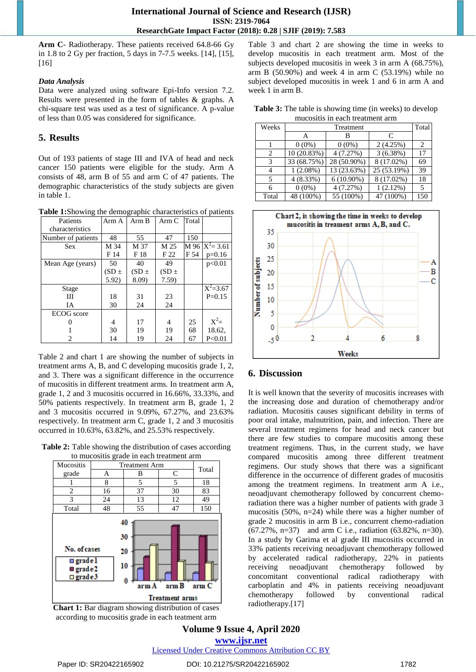**Arm C**- Radiotherapy. These patients received 64.8-66 Gy in 1.8 to 2 Gy per fraction, 5 days in 7-7.5 weeks. [14], [15], [16]

#### *Data Analysis*

Data were analyzed using software Epi-Info version 7.2. Results were presented in the form of tables & graphs. A chi-square test was used as a test of significance. A p-value of less than 0.05 was considered for significance.

## **5. Results**

Out of 193 patients of stage III and IVA of head and neck cancer 150 patients were eligible for the study. Arm A consists of 48, arm B of 55 and arm C of 47 patients. The demographic characteristics of the study subjects are given in table 1.

**Table 1:**Showing the demographic characteristics of patients

| Patients           | Arm A     | Arm B     | Arm C     | Total |                   |
|--------------------|-----------|-----------|-----------|-------|-------------------|
| characteristics    |           |           |           |       |                   |
| Number of patients | 48        | 55        | 47        | 150   |                   |
| <b>Sex</b>         | M 34      | M 37      | M 25      |       | M 96 $X^2 = 3.61$ |
|                    | F 14      | F 18      | F 22      | F 54  | $p=0.16$          |
| Mean Age (years)   | 50        | 40        | 49        |       | p<0.01            |
|                    | $(SD \pm$ | $(SD \pm$ | $(SD \pm$ |       |                   |
|                    | 5.92)     | 8.09)     | 7.59)     |       |                   |
| Stage              |           |           |           |       | $X^2=3.67$        |
| Ш                  | 18        | 31        | 23        |       | $P=0.15$          |
| IΑ                 | 30        | 24        | 24        |       |                   |
| <b>ECOG</b> score  |           |           |           |       |                   |
|                    | 4         | 17        | 4         | 25    | $X^2=$            |
|                    | 30        | 19        | 19        | 68    | 18.62,            |
| 2                  | 14        | 19        | 24        | 67    | P < 0.01          |

Table 2 and chart 1 are showing the number of subjects in treatment arms A, B, and C developing mucositis grade 1, 2, and 3. There was a significant difference in the occurrence of mucositis in different treatment arms. In treatment arm A, grade 1, 2 and 3 mucositis occurred in 16.66%, 33.33%, and 50% patients respectively. In treatment arm B, grade 1, 2 and 3 mucositis occurred in 9.09%, 67.27%, and 23.63% respectively. In treatment arm C, grade 1, 2 and 3 mucositis occurred in 10.63%, 63.82%, and 25.53% respectively.

**Table 2:** Table showing the distribution of cases according to mucositis grade in each treatment arm





Table 3 and chart 2 are showing the time in weeks to develop mucositis in each treatment arm. Most of the subjects developed mucositis in week 3 in arm A (68.75%), arm B  $(50.90\%)$  and week 4 in arm C  $(53.19\%)$  while no subject developed mucositis in week 1 and 6 in arm A and week 1 in arm B.

**Table 3:** The table is showing time (in weeks) to develop mucositis in each treatment arm

| Weeks                       | Treatment   |              |             |                             |  |
|-----------------------------|-------------|--------------|-------------|-----------------------------|--|
|                             | А           | В            | C           |                             |  |
|                             | $0(0\%)$    | $0(0\%)$     | 2(4.25%)    | $\mathcal{D}_{\mathcal{L}}$ |  |
| $\mathcal{D}_{\mathcal{L}}$ | 10 (20.83%) | 4(7.27%)     | 3(6.38%)    | 17                          |  |
| 3                           | 33 (68.75%) | 28 (50.90%)  | 8 (17.02%)  | 69                          |  |
|                             | $1(2.08\%)$ | 13 (23.63%)  | 25 (53.19%) | 39                          |  |
|                             | $4(8.33\%)$ | $6(10.90\%)$ | 8 (17.02%)  | 18                          |  |
|                             | $0(0\%)$    | 4(7.27%)     | 1(2.12%)    | 5                           |  |
| Total                       | 48 (100%)   | 55 (100%)    | 47 (100%)   | 150                         |  |



## **6. Discussion**

It is well known that the severity of mucositis increases with the increasing dose and duration of chemotherapy and/or radiation. Mucositis causes significant debility in terms of poor oral intake, malnutrition, pain, and infection. There are several treatment regimens for head and neck cancer but there are few studies to compare mucositis among these treatment regimens. Thus, in the current study, we have compared mucositis among three different treatment regimens. Our study shows that there was a significant difference in the occurrence of different grades of mucositis among the treatment regimens. In treatment arm A i.e., neoadjuvant chemotherapy followed by concurrent chemoradiation there was a higher number of patients with grade 3 mucositis (50%, n=24) while there was a higher number of grade 2 mucositis in arm B i.e., concurrent chemo-radiation (67.27%, n=37) and arm C i.e., radiation (63.82%, n=30). In a study by Garima et al grade III mucositis occurred in 33% patients receiving neoadjuvant chemotherapy followed by accelerated radical radiotherapy, 22% in patients receiving neoadjuvant chemotherapy followed by concomitant conventional radical radiotherapy with carboplatin and 4% in patients receiving neoadjuvant chemotherapy followed by conventional radical radiotherapy.[17]

#### **Volume 9 Issue 4, April 2020 www.ijsr.net** Licensed Under Creative Commons Attribution CC BY